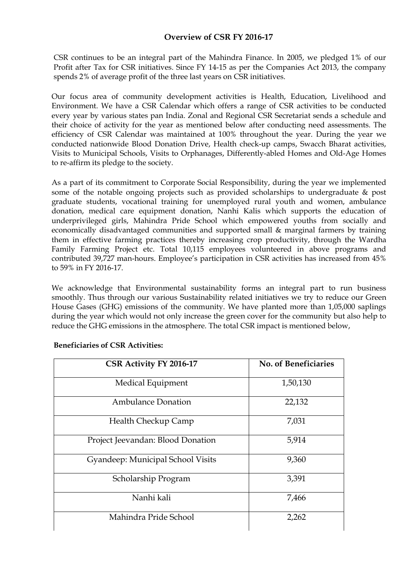## **Overview of CSR FY 2016-17**

CSR continues to be an integral part of the Mahindra Finance. In 2005, we pledged 1% of our Profit after Tax for CSR initiatives. Since FY 14-15 as per the Companies Act 2013, the company spends 2% of average profit of the three last years on CSR initiatives.

Our focus area of community development activities is Health, Education, Livelihood and Environment. We have a CSR Calendar which offers a range of CSR activities to be conducted every year by various states pan India. Zonal and Regional CSR Secretariat sends a schedule and their choice of activity for the year as mentioned below after conducting need assessments. The efficiency of CSR Calendar was maintained at 100% throughout the year. During the year we conducted nationwide Blood Donation Drive, Health check-up camps, Swacch Bharat activities, Visits to Municipal Schools, Visits to Orphanages, Differently-abled Homes and Old-Age Homes to re-affirm its pledge to the society.

As a part of its commitment to Corporate Social Responsibility, during the year we implemented some of the notable ongoing projects such as provided scholarships to undergraduate & post graduate students, vocational training for unemployed rural youth and women, ambulance donation, medical care equipment donation, Nanhi Kalis which supports the education of underprivileged girls, Mahindra Pride School which empowered youths from socially and economically disadvantaged communities and supported small & marginal farmers by training them in effective farming practices thereby increasing crop productivity, through the Wardha Family Farming Project etc. Total 10,115 employees volunteered in above programs and contributed 39,727 man-hours. Employee's participation in CSR activities has increased from 45% to 59% in FY 2016-17.

We acknowledge that Environmental sustainability forms an integral part to run business smoothly. Thus through our various Sustainability related initiatives we try to reduce our Green House Gases (GHG) emissions of the community. We have planted more than 1,05,000 saplings during the year which would not only increase the green cover for the community but also help to reduce the GHG emissions in the atmosphere. The total CSR impact is mentioned below,

| CSR Activity FY 2016-17           | No. of Beneficiaries |
|-----------------------------------|----------------------|
| Medical Equipment                 | 1,50,130             |
| <b>Ambulance Donation</b>         | 22,132               |
| <b>Health Checkup Camp</b>        | 7,031                |
| Project Jeevandan: Blood Donation | 5,914                |
| Gyandeep: Municipal School Visits | 9,360                |
| Scholarship Program               | 3,391                |
| Nanhi kali                        | 7,466                |
| Mahindra Pride School             | 2,262                |

#### **Beneficiaries of CSR Activities:**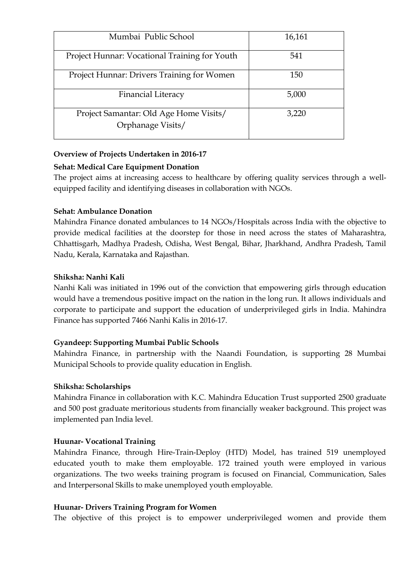| Mumbai Public School                          | 16,161 |
|-----------------------------------------------|--------|
| Project Hunnar: Vocational Training for Youth | 541    |
| Project Hunnar: Drivers Training for Women    | 150    |
| <b>Financial Literacy</b>                     | 5,000  |
| Project Samantar: Old Age Home Visits/        | 3,220  |
| Orphanage Visits/                             |        |

# **Overview of Projects Undertaken in 2016-17**

## **Sehat: Medical Care Equipment Donation**

The project aims at increasing access to healthcare by offering quality services through a well equipped facility and identifying diseases in collaboration with NGOs.

# **Sehat: Ambulance Donation**

Mahindra Finance donated ambulances to 14 NGOs/Hospitals across India with the objective to provide medical facilities at the doorstep for those in need across the states of Maharashtra, Chhattisgarh, Madhya Pradesh, Odisha, West Bengal, Bihar, Jharkhand, Andhra Pradesh, Tamil Nadu, Kerala, Karnataka and Rajasthan.

# **Shiksha: Nanhi Kali**

Nanhi Kali was initiated in 1996 out of the conviction that empowering girls through education would have a tremendous positive impact on the nation in the long run. It allows individuals and corporate to participate and support the education of underprivileged girls in India. Mahindra Finance has supported 7466 Nanhi Kalis in 2016-17.

## **Gyandeep: Supporting Mumbai Public Schools**

Mahindra Finance, in partnership with the Naandi Foundation, is supporting 28 Mumbai Municipal Schools to provide quality education in English.

## **Shiksha: Scholarships**

Mahindra Finance in collaboration with K.C. Mahindra Education Trust supported 2500 graduate and 500 post graduate meritorious students from financially weaker background. This project was implemented pan India level.

## **Huunar- Vocational Training**

Mahindra Finance, through Hire-Train-Deploy (HTD) Model, has trained 519 unemployed educated youth to make them employable. 172 trained youth were employed in various organizations. The two weeks training program is focused on Financial, Communication, Sales and Interpersonal Skills to make unemployed youth employable.

## **Huunar- Drivers Training Program for Women**

The objective of this project is to empower underprivileged women and provide them